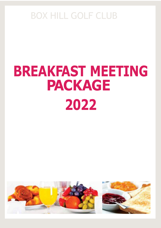# **BREAKFAST MEETING PACKAGE 2022**

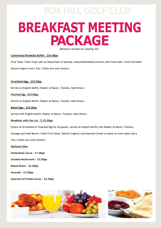# **BREAKFAST MEETING PACKAGE**

(Minimum Number for catering 40)

#### **Continental Breakfast Buffet - \$24.00pp**

Fruit Toast, Fresh Toast with an Assortment of Spreads, Assorted Breakfast Cereals with Fresh Milk, Fresh Fruit Salad Natural Yoghurt and a Tea, Coffee and Juice Station.

### **Scrambled Eggs - \$25.00pp**

Served on English Muffin, Rasher of Bacon, Tomato, Hash Brown

#### **Poached Egg - \$25.00pp**

Served on English Muffin, Rasher of Bacon, Tomato, Hash Brown

#### **Baked Eggs - \$26.00pp**

Served with English Muffin, Rasher of Bacon, Tomato, Hash Brown,

#### **Breakfast with the Lot - \$ 32.00pp**

Choice of Scrambled or Poached Egg for all guests, served on English Muffin with Rasher of Bacon, Tomato,

Sausage and Hash Brown. Fresh Fruit Salad, Natural Yoghurt and Assorted Cereal to share on each table and a

Tea, Coffee and Juice Station.

#### **Optional Sides**

**Hollandaise Sauce - \$1.00pp** 

**Sautéed Mushrooms - \$2.00pp**

**Baked Beans - \$2.00pp**

**Avocado - \$3.00pp**

**Selection of Chilled Juices** - **\$4.50pp**

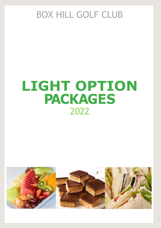# **LIGHT OPTION PACKAGES** 2022

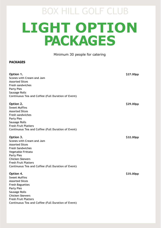# BOX HILL GOLF CLUB **LIGHT OPTION PACKAGES**

# Minimum 30 people for catering

# **PACKAGES**

| Option 1.<br>Scones with Cream and Jam<br><b>Assorted Slices</b><br>Fresh sandwiches<br><b>Party Pies</b><br>Sausage Rolls<br>Continuous Tea and Coffee (Full Duration of Event)                                                                      | \$27.00pp |
|-------------------------------------------------------------------------------------------------------------------------------------------------------------------------------------------------------------------------------------------------------|-----------|
| Option 2.<br><b>Sweet Muffins</b><br><b>Assorted Slices</b><br>Fresh sandwiches<br><b>Party Pies</b><br>Sausage Rolls<br><b>Fresh Fruit Platters</b><br>Continuous Tea and Coffee (Full Duration of Event)                                            | \$29.00pp |
| Option 3.<br>Scones with Cream and Jam<br><b>Assorted Slices</b><br><b>Fresh Sandwiches</b><br>Vegetable Frittata<br><b>Party Pies</b><br><b>Chicken Skewers</b><br><b>Fresh Fruit Platters</b><br>Continuous Tea and Coffee (Full Duration of Event) | \$32.00pp |
| Option 4.<br><b>Sweet Muffins</b><br><b>Assorted Slices</b><br><b>Fresh Baguettes</b><br><b>Party Pies</b><br>Sausage Rolls<br><b>Chicken Skewers</b><br><b>Fresh Fruit Platters</b><br>Continuous Tea and Coffee (Full Duration of Event)            | \$35.00pp |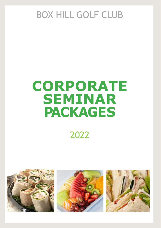# **CORPORATE SEMINAR PACKAGES** 2022

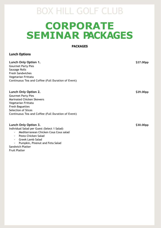# **CORPORATE SEMINAR PACKAGES**

**PACKAGES**

# **Lunch Options**

**Lunch Only Option 1. \$27.00pp** Gourmet Party Pies Sausage Rolls Fresh Sandwiches Vegetarian Frittata Continuous Tea and Coffee (Full Duration of Event) **Lunch Only Option 2. \$29.00pp** Gourmet Party Pies Marinated Chicken Skewers Vegetarian Frittata Fresh Baguettes Selection of Slices Continuous Tea and Coffee (Full Duration of Event) **Lunch Only Option 3. \$30.00pp** 

Individual Salad per Guest (Select 1 Salad)

- Mediterranean Chicken Cous Cous salad
- Pesto Chicken Salad
- Greek Lamb Salad
- Pumpkin, Pinenut and Feta Salad

Sandwich Platter Fruit Platter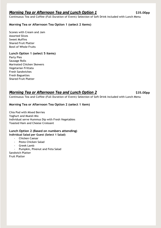# *Morning Tea or Afternoon Tea and Lunch Option 1* **\$35.00pp**

Continuous Tea and Coffee (Full Duration of Event) Selection of Soft Drink included with Lunch Menu

# **Morning Tea or Afternoon Tea Option 1 (select 2 items)**

Scones with Cream and Jam Assorted Slices Sweet Muffins Shared Fruit Platter Bowl of Whole Fruits

## **Lunch Option 1 (select 5 items)**

Party Pies Sausage Rolls Marinated Chicken Skewers Vegetarian Frittata Fresh Sandwiches Fresh Baguettes Shared Fruit Platter

# *Morning Tea or Afternoon Tea and Lunch Option 2* **\$35.00pp**

Continuous Tea and Coffee (Full Duration of Event) Selection of Soft Drink included with Lunch Menu

# **Morning Tea or Afternoon Tea Option 2 (select 1 item)**

Chia Pod with Mixed Berries Yoghurt and Muesli Mix Individual serve Hummus Dip with Fresh Vegetables Toasted Ham and Cheese Croissant

# **Lunch Option 2 (Based on numbers attending) Individual Salad per Guest (Select 1 Salad)**

- Chicken Caesar
- Pesto Chicken Salad
- Greek Lamb
- Pumpkin, Pinenut and Feta Salad

Sandwich Platter Fruit Platter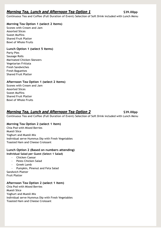# *Morning Tea, Lunch and Afternoon Tea Option 1* **<b>1998** \$39.00pp

Continuous Tea and Coffee (Full Duration of Event) Selection of Soft Drink included with Lunch Menu

# **Morning Tea Option 1 (select 2 items)**

Scones with Cream and Jam Assorted Slices Sweet Muffins Shared Fruit Platter Bowl of Whole Fruits

# **Lunch Option 1 (select 5 items)**

Party Pies Sausage Rolls Marinated Chicken Skewers Vegetarian Frittata Fresh Sandwiches Fresh Baguettes Shared Fruit Platter

# **Afternoon Tea Option 1 (select 2 items)**

Scones with Cream and Jam Assorted Slices Sweet Muffins Shared Fruit Platter Bowl of Whole Fruits

# *Morning Tea, Lunch and Afternoon Tea Option 2* **<b>\$39.00pp**

# Continuous Tea and Coffee (Full Duration of Event) Selection of Soft Drink included with Lunch Menu

# **Morning Tea Option 2 (select 1 item)**

Chia Pod with Mixed Berries Muesli Slice Yoghurt and Muesli Mix Individual serve Hummus Dip with Fresh Vegetables Toasted Ham and Cheese Croissant

## **Lunch Option 2 (Based on numbers attending) Individual Salad per Guest (Select 1 Salad)**

- Chicken Caesar
- Pesto Chicken Salad
- Greek Lamb
- Pumpkin, Pinenut and Feta Salad Sandwich Platter
- Fruit Platter

# **Afternoon Tea Option 2 (select 1 item)**

Chia Pod with Mixed Berries Muesli Slice Yoghurt and Muesli Mix Individual serve Hummus Dip with Fresh Vegetables Toasted Ham and Cheese Croissant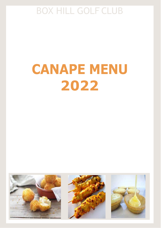# **CANAPE MENU 2022**

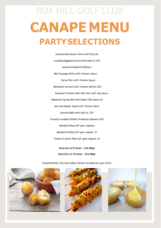# BOX HILL GOLF CLUB **CANAPEMENU PARTYSELECTIONS**

*Caramelized Onion Tarts with Feta (V) Crumbed Eggplant served with Aioli (V, GF) Assorted Sandwich Platters Mini Sausage Rolls with Tomato Sauce Party Pies with Tomato Sauce Meatballs served with Tomato Relish (GF) Steamed Chicken Mini Dim Sim with Soy Sauce Vegetarian Spring Roll with Sweet Chili Sauce (V) Salt and Pepper Squid with Tartare Sauce Arancini Balls with Aioli (V, GF) Crunchy Crumbed Chicken Tenderloin Skewers (GF) Hawaiian Pizza (GF upon request) Margherita Pizza (GF upon request, V) Cheese & Garlic Pizza (GF upon request, V) Selection of 8 Items - \$30.00pp* 



*Selection of 10 Items - \$34.00pp*



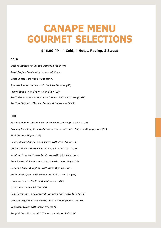# **CANAPE MENU GOURMET SELECTIONS**

# **\$46.00 PP – 4 Cold, 4 Hot, 1 Roving, 2 Sweet**

#### **COLD**

*Smoked Salmon with Dill and Crème Fraiche on Rye Roast Beef en Croute with Horseradish Cream Goats Cheese Tart with Fig and Honey Spanish Salmon and Avocado Ceviche Shooter (GF) Prawn Spoon with Green Asian Slaw (GF) Stuffed Button Mushrooms with feta and Balsamic Glaze (V, GF) Tortilla Chip with Mexican Salsa and Guacamole(V,GF)*

#### **HOT**

*Salt and Pepper Chicken Ribs with Nahm Jim Dipping Sauce (GF) Crunchy Corn Chip Crumbed Chicken Tenderloins with Chipotle Dipping Sauce (GF) Mini Chicken Mignon (GF) Peking Roasted Duck Spoon served with Plum Sauce (GF) Coconut and Chili Prawn with Lime and Chili Sauce (GF) Wonton Wrapped Firecracker Prawn with Spicy Thai Sauce Beer Battered Barramundi Goujon with Lemon Mayo (GF) Pork and Chive Dumplings with Asian Dipping Sauce Pulled Pork Spoon with Ginger and Hoisin Dressing (GF) Lamb Kofta with Garlic and Mint Yoghurt (GF) Greek Meatballs with Tzatziki Pea, Parmesan and Mozzarella Arancini Balls with Aioli (V,GF) Crumbed Eggplant served with Sweet Chili Mayonnaise (V, GF) Vegetable Gyoza with Black Vinegar (V) Punjabi Corn Fritter with Tomato and Onion Relish (V)*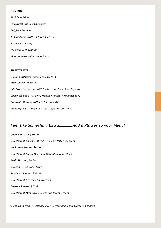## **ROVING**

*Mini Beef Slider Pulled Pork and Coleslaw Slider BBQ Pork BaoBuns Fish and Chips with Tartare Sauce (GF) Fresh Oyster (GF) Mexican Beef Tostada Gnocchi with Italian Sugo Sauce*

#### **SWEET TREATS**

*Lemon and Passionfruit Cheesecake (GF) Assorted Mini Macarons Bite Sized Profiteroles with Custard and Chocolate Topping Chocolate and Strawberry Mousse Chocolate Thimbles (GF) Chocolate Brownie with Fresh Cream (GF) Wedding or Birthday Cake (cake supplied by client)*

# *Feel like Something Extra………….Add a Platter to your Menu!*

*Cheese Platter \$60.00 Selection of Cheeses, Dried Fruit and Water Crackers Antipasto Platter \$60.00 Selection of Cured Meat and Marinated Vegetables Fruit Platter \$50.00 Selection of Seasonal Fruit Sandwich Platter \$50.00 Selection of Gourmet Sandwiches Dessert Platter \$70.00 Selection of Mini Cakes, Slices and Sweet Treats*

*Prices Valid from 1st October 2021 - Prices and Menu subject to change*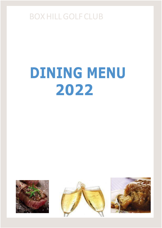# **DINING MENU 2022**





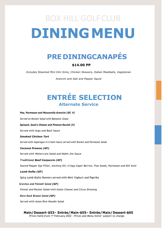# BOX HILL GOLFCLUB **DININGMENU**

# **PRE DININGCANAPÉS**

# **\$14.00 PP**

*Includes Steamed Mini Dim Sims, Chicken Skewers, Italian Meatballs, Vegetarian* 

*Arancini and Salt and Pepper Squid*

# **ENTRÉE SELECTION Alternate Service**

*Pea, Parmesan and Mozzarella Arancini (GF, V) Served on Rocket Salad with Balsamic Glaze Spinach, Goat's Cheese and Pinenut Ravioli (V) Served with Sugo and Basil Sauce Smoked Chicken Tart Served with Asparagus in Cream Sauce served with Rocket and Parmesan Salad Coconut Prawns (GF) Served with Watercress Salad and Nahm Jim Sauce Traditional Beef Carpaccio (GF)*

*Seared Pepper Eye Fillet, Anchovy Oil, Crispy Caper Berries, Flax Seeds, Parmesan and Dill Aioli*

*Lamb Kofta (GF)*

*Spicy Lamb Kofta Skewers served with Mint Yoghurt and Paprika*

*Gravlax and Fennell Salad (GF)*

*Fennel and Rocket Salad with Goats Cheese and Citrus Dressing*

*Rare Duck Breast Salad (GF)*

*Served with Asian Rice Noodle Salad*

### **Main/Dessert-\$53– Entrée/Main-\$55– Entrée/Main/ Dessert-\$65** *Prices Valid from 1st February 2022 – Prices and Menu Items' subject to change.*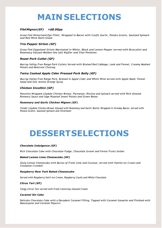# **MAINSELECTIONS**

# *FiletMignon(GF) +\$8.00pp*

*Grass Fed Hinterland Eye Fillet, Wrapped in Bacon with Confit Garlic, Potato Gratin, Sauteed Spinach and Red Wine Demi Glaze*

### *Trio Pepper Sirloin (GF)*

*Grass Fed Gippsland Sirloin Marinated in White, Black and Lemon Pepper served with Broccolini and Rosemary Infused Maldon Sea Salt Kipfler and Chat Potatoes*

## *Roast Pork Cutlet (GF)*

*Murray Valley Free Range Pork Cutlets Served with Braised Red Cabbage, Leek and Fennel, Creamy Mashed Potato and Beetroot Chutney*

## *Twice Cooked Apple Cider Pressed Pork Belly (GF)*

*Murray Valley Free Range Pork, Braised in Apple Cider and White Wine served with Apple Mash, Fennel Salad and Star Annise Orange Syrup*

## *Chicken Involtini (GF)*

*Pancetta Wrapped Lilydale Chicken Breast, Parmesan, Ricotta and Spinach served with Rich Almond Romesco Sauce and Sage Roasted Sweet Potato and Green Beans*

#### *Rosemary and Garlic Chicken Mignon (GF)*

*Tender Lilydale Chicken Breast Infused with Rosemary and Garlic Butter Wrapped in Streaky Bacon, Served with Potato Gratin, Sauteed Spinach and Silverbeet*

# **DESSERTSELECTIONS**

#### *Chocolate Indulgence (GF)*

*Rich Chocolate Cake with Chocolate Fudge, Chocolate Gravel and Forest Fruits Sorbet*

#### *Baked Lemon Lime Cheesecake (GF)*

*Zesty Lemon Cheesecake with Bursts of Fresh Lime and Coconut, served with Vanilla Ice Cream and Cinnamon Crumble*

#### *Raspberry New York Baked Cheesecake*

*Served with Raspberry Swirl Ice Cream, Raspberry Coulis and White Chocolate*

#### *Citrus Tart (GF)*

*Tangy Citrus Tart served with Fresh Cointreau Infused Cream*

#### *Caramel Sin Cake*

*Delicate Chocolate Cake with a Decadent Caramel Filling, Topped with Caramel Ganache and Finished with Mascarpone and Caramel Popcorn*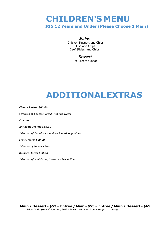# **CHILDREN'S MENU**

**\$15 12 Years and Under (Please Choose 1 Main)**

# *Mains*

Chicken Nuggets and Chips Fish and Chips Beef Sliders and Chips

# *Dessert*

Ice Cream Sundae

# **ADDITIONALEXTRAS**

*Cheese Platter \$60.00 Selection of Cheeses, Dried Fruit and Water Crackers Antipasto Platter \$60.00 Selection of Cured Meat and Marinated Vegetables Fruit Platter \$50.00 Selection of Seasonal Fruit Dessert Platter \$70.00 Selection of Mini Cakes, Slices and Sweet Treats*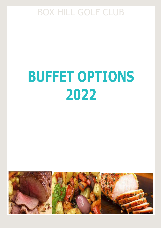# **BUFFET OPTIONS 2022**

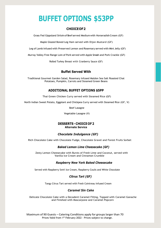# **BUFFET OPTIONS \$53PP**

# **CHOICEOF2**

Grass Fed Gippsland Sirloin of Beef served Medium with Horseradish Cream (GF)

Maple Glazed Boned Leg Ham served with Dijon Mustard (GF)

Leg of Lamb Infused with Preserved Lemon and Rosemary served with Mint Jelly (GF)

Murray Valley Free Range Loin of Pork served with Apple Smash and Pork Crackle (GF)

Rolled Turkey Breast with Cranberry Sauce (GF)

# **Buffet Served With**

Traditional Gourmet Garden Salad, Rosemary Infused Maldon Sea Salt Roasted Chat Potatoes, Pumpkin, Carrots and Steamed Green Beans

# **ADDITIONAL BUFFET OPTIONS \$5PP**

Thai Green Chicken Curry served with Steamed Rice (GF)

North Indian Sweet Potato, Eggplant and Chickpea Curry served with Steamed Rice (GF, V)

Beef Lasagne

Vegetable Lasagne (V)

### **DESSERTS - CHOICEOF 2 Alternate Service**

## *Chocolate Indulgence (GF)*

Rich Chocolate Cake with Chocolate Fudge, Chocolate Gravel and Forest Fruits Sorbet

### *Baked Lemon Lime Cheesecake (GF)*

 Zesty Lemon Cheesecake with Bursts of Fresh Lime and Coconut, served with Vanilla Ice Cream and Cinnamon Crumble

## *Raspberry New York Baked Cheesecake*

Served with Raspberry Swirl Ice Cream, Raspberry Coulis and White Chocolate

# *Citrus Tart (GF)*

Tangy Citrus Tart served with Fresh Cointreau Infused Cream

## *Caramel Sin Cake*

Delicate Chocolate Cake with a Decadent Caramel Filling, Topped with Caramel Ganache and Finished with Mascarpone and Caramel Popcorn

Maximum of 90 Guests – Catering Conditions apply for groups larger than 70 Prices Valid from 1<sup>st</sup> February 2022 - Prices subject to change.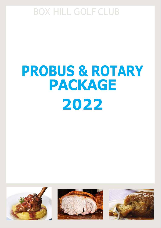# **PROBUS & ROTARY PACKAGE 2022**





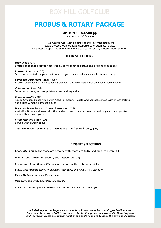# **PROBUS & ROTARY PACKAGE**

# **OPTION 1 - \$42.00 pp**

(Minimum of 30 Guests)

Two Course Meal with a choice of the following selections Please choose 2 Main Meals and 2 Desserts for alternate service. A vegetarian option is available and we can cater for any dietary requirements.

# **MAIN SELECTIONS**

*Beef Cheek (GF)* Braised beef cheek served with creamy garlic mashed potato and braising reductions

*Roasted Pork Loin (GF)* Served with roasted pumpkin, chat potatoes, green beans and homemade beetroot chutney

*Lamb and Mushroom Ragout (GF)* Braised Lamb Shoulder, in a Red Wine Sauce with Mushrooms and Rosemary upon Creamy Polenta

*Chicken and Leek Filo* Served with creamy mashed potato and seasonal vegetables

*Chicken Involtini (GF)* Rolled Chicken Breast filled with Aged Parmesan, Ricotta and Spinach served with Sweet Potato and a Rich Almond Romesco Sauce

*Herb and Sweet Paprika Crusted Barramundi (GF)* Australian Barramundi roasted with a herb and sweet paprika crust, served on parsnip and potato mash with steamed greens

*Fried Fish and Chips (GF)* Served with garden salad

*Traditional Christmas Roast (December or Christmas in July) (GF)*

# **DESSERT SELECTIONS**

*Chocolate Indulgence* chocolate brownie with chocolate fudge and oreo ice cream (GF)

*Pavlova* with cream, strawberry and passionfruit (GF)

*Lemon and Lime Baked Cheesecake* served with fresh cream (GF)

*Sticky Date Pudding Served with butterscotch sauce and vanilla ice cream (GF)*

*Pecan Pie* Served *with vanilla ice cream* 

*Raspberry and White Chocolate Cheesecake* 

*Christmas Pudding with Custard (December or Christmas in July)*

*Included in your package is complimentary Room Hire a Tea and Coffee Station with a Complimentary Jug of Soft Drink on each table. Complimentary use of PA, Data Projector and Projector Screens. Minimum number of people required to book the event is 30 guests*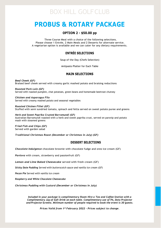# **PROBUS & ROTARY PACKAGE**

# **OPTION 2 - \$50.00 pp**

Three Course Meal with a choice of the following selections. Please choose 1 Entrée, 2 Main Meals and 2 Desserts for alternate service. A vegetarian option is available and we can cater for any dietary requirements.

# **ENTRÉE SELECTIONS**

Soup of the Day (Chefs Selection)

Antipasto Platter for Each Table

# **MAIN SELECTIONS**

*Beef Cheek (GF)* Braised beef cheek served with creamy garlic mashed potato and braising reductions

*Roasted Pork Loin (GF)* Served with roasted pumpkin, chat potatoes, green beans and homemade beetroot chutney

*Chicken and Asparagus Filo* Served with creamy mashed potato and seasonal vegetables

*Roasted Chicken Fillet (GF)* Stuffed with semi sundried tomato, spinach and fetta served on sweet potato puree and greens

*Herb and Sweet Paprika Crusted Barramundi (GF)* Australian Barramundi roasted with a herb and sweet paprika crust, served on parsnip and potato mash with steamed greens

*Fried Fish and Chips (GF)* Served with garden salad

*Traditional Christmas Roast (December or Christmas in July) (GF)*

# **DESSERT SELECTIONS**

*Chocolate Indulgence* chocolate brownie with chocolate fudge and oreo ice cream (GF)

*Pavlova* with cream, strawberry and passionfruit (GF)

*Lemon and Lime Baked Cheesecake* served with fresh cream (GF)

*Sticky Date Pudding Served with butterscotch sauce and vanilla ice cream (GF)*

*Pecan Pie* Served *with vanilla ice cream* 

*Raspberry and White Chocolate Cheesecake* 

*Christmas Pudding with Custard (December or Christmas in July)*

*Included in your package is complimentary Room Hire a Tea and Coffee Station with a Complimentary Jug of Soft Drink on each table. Complimentary use of PA, Data Projector and Projector Screens. Minimum number of people required to book the event is 30 guests.*

*Prices Valid from 1st February 2022 - Prices subject to change.*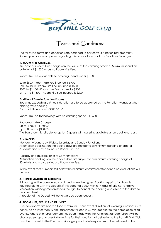

# Terms and Conditions

The following terms and conditions are designed to ensure your function runs smoothly. Should you have any queries regarding this contract, contact our Functions Manager.

## **1. ROOM HIRE CHARGES**

We base our Room Hire charges on the value of the catering ordered. Minimum spend on catering at \$1,500 incurs no Room Hire Fee.

Room Hire Fee applicable to catering spend under \$1,500

\$0 to \$500 – Room Hire Fee incurred is \$700 \$501 to \$800 - Room Hire Fee incurred is \$500 \$801 to \$1,100 - Room Hire Fee incurred is \$300 \$1,101 to \$1,500 – Room Hire Fee incurred is \$200

## **Additional Time in Function Rooms**

Bookings exceeding a 5 hours duration are to be approved by the Function Manager when placing your booking. Each additional hour - \$300.00 p/h

Room Hire Fee for bookings with no catering spend - \$1,500

Boardroom Hire Charges Up to 4 hours - \$150.00 Up to 8 hours - \$300.00 The Boardroom is suitable for up to 12 guests with catering available at an additional cost.

## **2. NUMBERS**

Monday, Wednesday, Friday, Saturday and Sunday Functions All function bookings on the above days are subject to a minimum catering charge of 30 Adults and may also incur a Room Hire Fee.

Tuesday and Thursday prior to 6pm Functions All function bookings on the above days are subject to a minimum catering charge of 60 Adults and may also incur a Room Hire Fee.

In the event that numbers fall below the minimum confirmed attendance no deductions will be given.

# **3. CONFIRMATION OF BOOKING**

A booking will be considered confirmed when the signed Booking Application Form is returned along with the Deposit. If this does not occur within 14 days of original tentative reservation, Management reserves the right to cancel the booking and allocate the date to another client.

A receipt of the Deposit will be forwarded upon request.

# **4. ROOM HIRE, SET UP AND DELIVERY**

Function Rooms are booked for a maximum 5 hour event duration, all evening functions must conclude no later than 12am. Bar Service will cease 30 minutes prior to the completion of all events. Where prior arrangement has been made with the Function Manager clients will be allocated set up and break down time for their function. All deliveries to the Box Hill Golf Club must be advised to the Functions Manager prior to delivery and must be delivered to the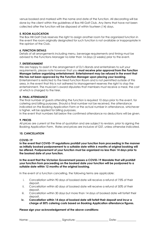venue booked and marked with the name and date of the function. All decorating will be done by the client within the guidelines of Box Hill Golf Club. Any items that have not been collected after the function will be disposed of within fourteen (14) days.

## **5. ROOM ALLOCATION**

The Box Hill Golf Club reserves the right to assign another room for the organized function in the event the room originally designated for such function is not available or inappropriate in the opinion of the Club.

## **6. FUNCTION DETAILS**

Details of all arrangements including menu, beverage requirements and timing must be advised to the Functions Manager no later than 14 days (2 weeks) prior to the event.

## **7. ENTERTAINMENT**

We are happy to assist in the arrangement of DJ's Bands and entertainers to suit your requirements, please note however that you **must receive prior approval from the Function Manager before organizing entertainment**. **Entertainment may be refused in the event that this has not been approved by the Function Manager upon placing your booking.** Entertainment is restricted to the hired Function Room and is not permitted outside of this area, in the event that this is not adhered to Management reserves the right to stop the entertainment. The musician's award stipulates that members must receive a meal, the cost of which is charged to the hirer.

## **8. FINAL ATTENDANCE**

The final number of guests attending the function is required 10 days prior to the event, for catering and billing purposes. Should a final number not be received, the attendance indicated on the Booking Application Form or the actual number in attendance, whichever is higher, will be applied for billing purposes.

In the event that numbers fall below the confirmed attendance no deductions will be given.

## **9. PRICES**

All prices are current at the time of quotation and are subject to revision, prior to signing the Booking Application Form. Rates and prices are inclusive of GST, unless otherwise indicated.

## **10. CANCELLATION**

## **COVID-19**

**In the event that COVID-19 regulations prohibit your function from proceeding in the manner as initially booked postponement to a suitable date within 6 months of original booking will be offered. Postponement of your function must be organized no less than 14 days prior to the booked date of your function.**

**In the event that the Victorian Government passes a COVID-19 Mandate that will prohibit your function from proceeding on the booked date your function will be postponed to a suitable date within 12 months of the original booking.**

In the event of a function cancelling, the following terms are applicable:

- i. Cancellation within 90 days of booked date will receive a refund of 75% of their deposit.
- ii. Cancellation within 60 days of booked date will receive a refund of 50% of their deposit.
- iii. Cancellation within 30 days but more than 14 days of booked date will forfeit their deposit.
- **iv. Cancellation within 14 days of booked date will forfeit their deposit and incur a charge of 50% catering costs based on Booking Application attendance figures.**

## **Please sign your acknowledgement of the above conditions:**

Name: \_\_\_\_\_\_\_\_\_\_\_\_\_\_\_\_\_\_\_\_\_\_\_\_ Signature: \_\_\_\_\_\_\_\_\_\_\_\_\_\_\_\_\_\_\_\_\_\_\_\_ Date: \_\_\_\_\_\_\_\_\_\_\_\_\_\_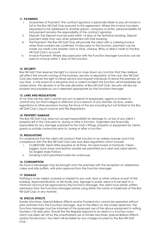# **11. PAYMENTS:**

- i. Guarantee of Payment: The contract signatory is personally liable to pay all monies in full to the Box Hill Golf Club pursuant to this agreement. Where the invoice has been requested to be addressed to another person, company or entity, personal liability for full payment remains the responsibility of the contract signatory.
- ii. Deposit: The Deposit must be paid within 14 days of the tentative booking. Deposit payment date may vary when presented with late booking.
- iii. Pre-Payment: The Box Hill Golf Club will provide the client with a catering invoice when final numbers are confirmed 10 days prior to the function, payment can be made via credit card (Master card or Visa), cheque, BPay or direct credit to The Box Hill Golf Club's account.
- iv. Invoice Payment: Where discussed prior with the Function Manager functions can be paid on invoice within 7 days of the function.

# **12. SECURITY**

Box Hill Golf Club reserves the right to cancel or close down any function that they believe will affect the smooth running of the business, security or reputation of the club. Box Hill Golf Club also reserves the right to refuse service and request individuals to leave the premises at any time. In the event of a disruptive and or violent incident the function will immediately be closed down, this decision is at the sole discretion of Box Hill Golf Club. Security will also be booked and payable by you if deemed appropriate by the Functions Manager

## **13. LAWS AND REGULATIONS**

At no time will the client commit any act or permit its employees, agents or invitees to commit any act that is illegal or offensive or is in breach of any statutes, by laws, orders, regulations or other provisions having the force of the law including but not limited to the Box Hill Golf Club's Liquor Licence and Fire Regulations.

## **14. PROPERTY DAMAGE**

The Box Hill Golf Club does not accept responsibility for damage to, or loss of any client's property left in the Club prior to, during or after a function. Organizers are financially responsible for any damage sustained to the Club's fittings, property or equipment by clients, guests or outside contractors prior to, during or after a function.

# **15. REGULATIONS**

It is understood that the client will conduct their function in an orderly manner and in full compliance with The Box Hill Golf Club rules and dress regulations which include:

- i. CLUBHOUSE. Neat attire required at all times. No beachwear or tracksuits. Clean joggers, boat shoes and leather sandals are permitted as is neat and clean denim. No Singlets Male Partons
- ii. Smoking is NOT permitted inside the clubhouse.

## **16. CONSUMPTION**

No food or beverages may be brought onto the premises with the exception of celebratory cakes and lolly buffets, with prior approval from the Function Manager.

# **17. SIGNAGE**

Nothing is to be nailed, screwed or stapled to any wall, door or other surface or part of the building. Approved BlueTac or 3M Hooks only. Signage in public areas is to be kept to a minimum and must be approved by the Functions Manager. The client must obtain written permission from the Functions Manager before using either the name or trademark of The Box Hill Golf Club, in any manner.

## **18. SPECIAL EFFECTS**

Smoke Machines, Special Balloon Effects and/or Pyrotechnics cannot be operated without prior authority from the Functions Manager, due to the effect on the smoke detectors. The Functions Manager must be informed of the proposed use of the above equipment in writing fourteen (14) days prior. Should the Fire Brigade respond to an alarm in a function room, which has been set off by the unauthorized use of Smoke Machines, Special Balloon Effects and/or Pyrotechnics, the client will be liable for any charges incurred to The Box Hill Golf Club.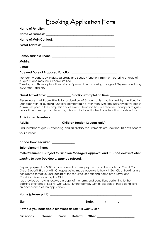# Booking Application Form

### **Day and Date of Proposed Function: \_\_\_\_\_\_\_\_\_\_\_\_\_\_\_\_\_\_\_\_\_\_\_\_\_\_\_\_\_\_**

Monday, Wednesday, Friday, Saturday and Sunday functions minimum catering charge of 30 guests and may incur Room Hire Fee

Tuesday and Thursday functions prior to 6pm minimum catering charge of 60 guests and may incur Room Hire Fee

### Guest Arrival Time: **We are all assumed Transformation Completion Time: Guest Arrival Time:**

Please note that Room Hire is for a duration of 5 hours unless authorized by the Function Manager, with all evening functions completed no later than 12:00am. Bar Service will cease 30 minutes prior to the completion of all events. Function host will receive 1 hour prior to guest arrival time to set up and decorate, this is not included in the 5 hour function duration time.

## **Anticipated Numbers:**

Adults: Children (under 12 years only)

Final number of guests attending and all dietary requirements are required 10 days prior to your function

**Dance Floor Required: \_\_\_\_\_\_\_\_\_\_\_\_\_\_\_**

**Entertainment Type: \_\_\_\_\_\_\_\_\_\_\_\_\_\_\_\_\_\_\_\_\_\_\_\_\_\_\_\_\_\_\_\_\_\_\_\_\_\_\_\_\_\_\_\_\_\_\_\_\_\_\_\_\_\_\_\_\_\_**

*\*Entertainment is subject to Function Managers approval and must be advised when* 

## *placing in your booking or may be refused.*

Deposit payment of \$500 accompanies this form, payments can be made via Credit Card, Direct Deposit BPay or with Cheques being made payable to Box Hill Golf Club. Bookings are considered tentative until receipt of the required Deposit and completed Terms and Conditions is received by the Club.

I acknowledge having received a copy of the terms and conditions pertaining to the booking of events at Box Hill Golf Club. I further comply with all aspects of these conditions on acceptance of this application.

| How did you hear about functions at Box Hill Golf Club? |                                |  |  |  |  |  |  |  |  |
|---------------------------------------------------------|--------------------------------|--|--|--|--|--|--|--|--|
| Facebook                                                | Internet Email Referral Other: |  |  |  |  |  |  |  |  |